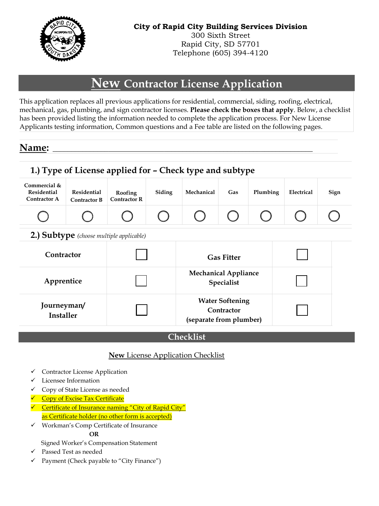

Telephone (605) 394-4120

# **New Contractor License Application**

This application replaces all previous applications for residential, commercial, siding, roofing, electrical, mechanical, gas, plumbing, and sign contractor licenses. **Please check the boxes that apply**. Below, a checklist has been provided listing the information needed to complete the application process. For New License Applicants testing information, Common questions and a Fee table are listed on the following pages.

# **Name: \_\_\_\_\_\_\_\_\_\_\_\_\_\_\_\_\_\_\_\_\_\_\_\_\_\_\_\_\_\_\_\_\_\_\_\_\_\_\_\_\_\_\_\_\_\_\_\_\_\_\_\_\_\_\_\_\_\_\_\_\_\_\_\_\_\_\_\_\_\_**

|                                                    |                                                 | 1.) Type of License applied for - Check type and subtype |        |                   |                                                                 |          |            |      |
|----------------------------------------------------|-------------------------------------------------|----------------------------------------------------------|--------|-------------------|-----------------------------------------------------------------|----------|------------|------|
| Commercial &<br><b>Residential</b><br>Contractor A | Residential<br><b>Contractor B</b>              | Roofing<br><b>Contractor R</b>                           | Siding | Mechanical        | Gas                                                             | Plumbing | Electrical | Sign |
|                                                    |                                                 |                                                          |        |                   |                                                                 |          |            |      |
|                                                    | <b>2.) Subtype</b> (choose multiple applicable) |                                                          |        |                   |                                                                 |          |            |      |
| Contractor                                         |                                                 |                                                          |        | <b>Gas Fitter</b> |                                                                 |          |            |      |
| Apprentice                                         |                                                 | <b>Mechanical Appliance</b><br>Specialist                |        |                   |                                                                 |          |            |      |
| Journeyman/<br>Installer                           |                                                 |                                                          |        |                   | <b>Water Softening</b><br>Contractor<br>(separate from plumber) |          |            |      |

#### **Checklist**

#### **New** License Application Checklist

- ✓ Contractor License Application
- ✓ Licensee Information
- ✓ Copy of State License as needed
- Copy of Excise Tax Certificate
- ✓ Certificate of Insurance naming "City of Rapid City" as Certificate holder (no other form is accepted)
- ✓ Workman's Comp Certificate of Insurance  **OR**
	- Signed Worker's Compensation Statement
- ✓ Passed Test as needed
- ✓ Payment (Check payable to "City Finance")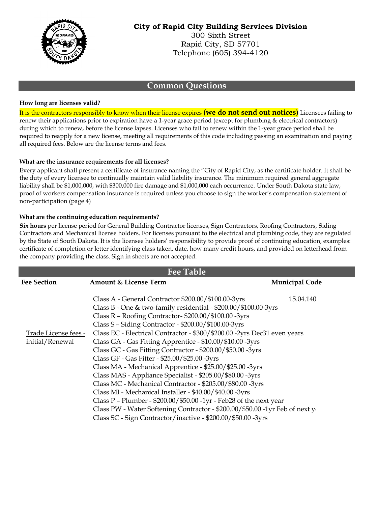

#### **Common Questions**

#### **How long are licenses valid?**

It is the contractors responsibly to know when their license expires **(we do not send out notices)** Licensees failing to renew their applications prior to expiration have a 1-year grace period (except for plumbing & electrical contractors) during which to renew, before the license lapses. Licenses who fail to renew within the 1-year grace period shall be required to reapply for a new license, meeting all requirements of this code including passing an examination and paying all required fees. Below are the license terms and fees.

#### **What are the insurance requirements for all licenses?**

Every applicant shall present a certificate of insurance naming the "City of Rapid City, as the certificate holder. It shall be the duty of every licensee to continually maintain valid liability insurance. The minimum required general aggregate liability shall be \$1,000,000, with \$300,000 fire damage and \$1,000,000 each occurrence. Under South Dakota state law, proof of workers compensation insurance is required unless you choose to sign the worker's compensation statement of non-participation (page 4)

#### **What are the continuing education requirements?**

**Six hours** per license period for General Building Contractor licenses, Sign Contractors, Roofing Contractors, Siding Contractors and Mechanical license holders. For licenses pursuant to the electrical and plumbing code, they are regulated by the State of South Dakota. It is the licensee holders' responsibility to provide proof of continuing education, examples: certificate of completion or letter identifying class taken, date, how many credit hours, and provided on letterhead from the company providing the class. Sign in sheets are not accepted.

| <b>Fee Table</b>                        |                                                                                                                                                                                                                                                                                                                                                                                                                                                                                                                                                                                                                                                                                                                                                                                                                                                                                                                                                                            |                       |  |  |
|-----------------------------------------|----------------------------------------------------------------------------------------------------------------------------------------------------------------------------------------------------------------------------------------------------------------------------------------------------------------------------------------------------------------------------------------------------------------------------------------------------------------------------------------------------------------------------------------------------------------------------------------------------------------------------------------------------------------------------------------------------------------------------------------------------------------------------------------------------------------------------------------------------------------------------------------------------------------------------------------------------------------------------|-----------------------|--|--|
| <b>Fee Section</b>                      | <b>Amount &amp; License Term</b>                                                                                                                                                                                                                                                                                                                                                                                                                                                                                                                                                                                                                                                                                                                                                                                                                                                                                                                                           | <b>Municipal Code</b> |  |  |
| Trade License fees -<br>initial/Renewal | Class A - General Contractor \$200.00/\$100.00-3yrs<br>Class B - One & two-family residential - $$200.00$ / $$100.00$ -3yrs<br>Class R - Roofing Contractor- \$200.00/\$100.00 -3yrs<br>Class S - Siding Contractor - \$200.00/\$100.00-3yrs<br>Class EC - Electrical Contractor - \$300/\$200.00 -2yrs Dec31 even years<br>Class GA - Gas Fitting Apprentice - \$10.00/\$10.00 -3yrs<br>Class GC - Gas Fitting Contractor - \$200.00/\$50.00 -3yrs<br>Class GF - Gas Fitter - \$25.00/\$25.00 -3yrs<br>Class MA - Mechanical Apprentice - \$25.00/\$25.00 -3yrs<br>Class MAS - Appliance Specialist - \$205.00/\$80.00 -3yrs<br>Class MC - Mechanical Contractor - \$205.00/\$80.00 -3yrs<br>Class MI - Mechanical Installer - \$40.00/\$40.00 -3yrs<br>Class P - Plumber - \$200.00/\$50.00 -1yr - Feb28 of the next year<br>Class PW - Water Softening Contractor - \$200.00/\$50.00 -1yr Feb of next y<br>Class SC - Sign Contractor/inactive - \$200.00/\$50.00 -3yrs | 15.04.140             |  |  |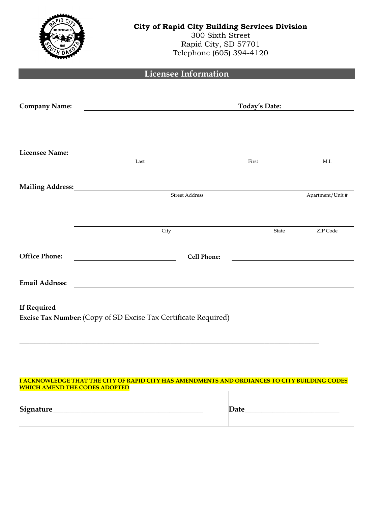|                                      | <b>City of Rapid City Building Services Division</b><br>300 Sixth Street<br>Rapid City, SD 57701<br>Telephone (605) 394-4120 |                      |                  |  |  |  |
|--------------------------------------|------------------------------------------------------------------------------------------------------------------------------|----------------------|------------------|--|--|--|
|                                      | <b>Licensee Information</b>                                                                                                  |                      |                  |  |  |  |
| <b>Company Name:</b>                 |                                                                                                                              | <b>Today's Date:</b> |                  |  |  |  |
| <b>Licensee Name:</b>                | Last                                                                                                                         | First                | M.I.             |  |  |  |
|                                      | <b>Mailing Address:</b><br>Street Address                                                                                    |                      | Apartment/Unit # |  |  |  |
|                                      | City                                                                                                                         | State                | ZIP Code         |  |  |  |
| <b>Office Phone:</b>                 | <b>Cell Phone:</b>                                                                                                           |                      |                  |  |  |  |
| <b>Email Address:</b>                |                                                                                                                              |                      |                  |  |  |  |
| <b>If Required</b>                   | Excise Tax Number: (Copy of SD Excise Tax Certificate Required)                                                              |                      |                  |  |  |  |
| <b>WHICH AMEND THE CODES ADOPTED</b> | I ACKNOWLEDGE THAT THE CITY OF RAPID CITY HAS AMENDMENTS AND ORDIANCES TO CITY BUILDING CODES                                |                      |                  |  |  |  |
|                                      |                                                                                                                              |                      |                  |  |  |  |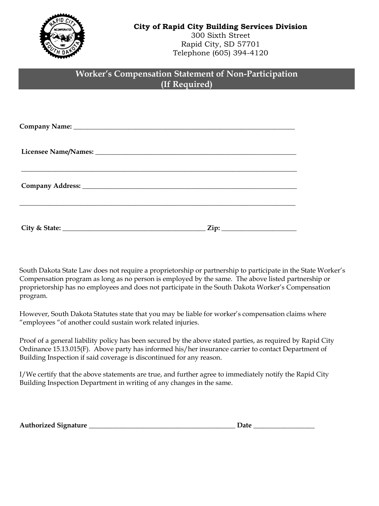

## **Worker's Compensation Statement of Non-Participation (If Required)**

South Dakota State Law does not require a proprietorship or partnership to participate in the State Worker's Compensation program as long as no person is employed by the same. The above listed partnership or proprietorship has no employees and does not participate in the South Dakota Worker's Compensation program.

However, South Dakota Statutes state that you may be liable for worker's compensation claims where "employees "of another could sustain work related injuries.

Proof of a general liability policy has been secured by the above stated parties, as required by Rapid City Ordinance 15.13.015(F). Above party has informed his/her insurance carrier to contact Department of Building Inspection if said coverage is discontinued for any reason.

I/We certify that the above statements are true, and further agree to immediately notify the Rapid City Building Inspection Department in writing of any changes in the same.

| <b>Authorized Signature</b> | Jate |
|-----------------------------|------|
|                             |      |

| tρ<br>. лат<br>. . |  |  |  |
|--------------------|--|--|--|
|                    |  |  |  |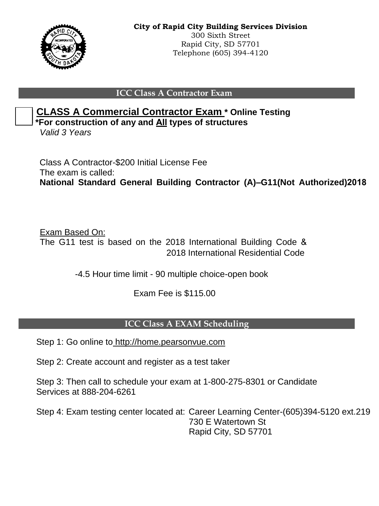

#### **ICC Class A Contractor Exam**



**\*For construction of any and All types of structures**

*Valid 3 Years* 

Class A Contractor-\$200 Initial License Fee The exam is called: **National Standard General Building Contractor (A)–G11(Not Authorized)2018**

Exam Based On: The G11 test is based on the 2018 International Building Code & 2018 International Residential Code

-4.5 Hour time limit - 90 multiple choice-open book

Exam Fee is \$115.00

### **ICC Class A EXAM Scheduling**

Step 1: Go online to http://home.pearsonvue.com

Step 2: Create account and register as a test taker

Step 3: Then call to schedule your exam at 1-800-275-8301 or Candidate Services at 888-204-6261

Step 4: Exam testing center located at: Career Learning Center-(605)394-5120 ext.219 730 E Watertown St Rapid City, SD 57701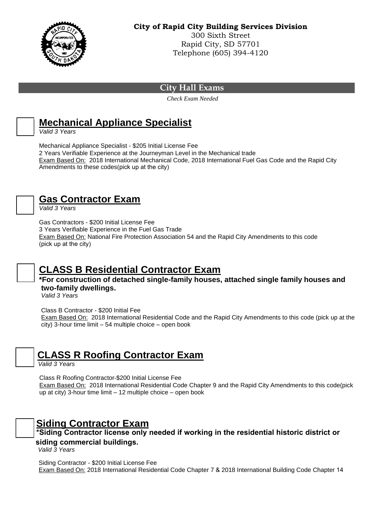

#### **City Hall Exams**

 *Check Exam Needed* 



# **Mechanical Appliance Specialist**

*Valid 3 Years*

Mechanical Appliance Specialist - \$205 Initial License Fee 2 Years Verifiable Experience at the Journeyman Level in the Mechanical trade Exam Based On: 2018 International Mechanical Code, 2018 International Fuel Gas Code and the Rapid City Amendments to these codes(pick up at the city)



# **Gas Contractor Exam**

*Valid 3 Years*

Gas Contractors - \$200 Initial License Fee

3 Years Verifiable Experience in the Fuel Gas Trade Exam Based On: National Fire Protection Association 54 and the Rapid City Amendments to this code (pick up at the city)



# **CLASS B Residential Contractor Exam**

**\*For construction of detached single-family houses, attached single family houses and two-family dwellings.** 

*Valid 3 Years*

Class B Contractor - \$200 Initial Fee

Exam Based On: 2018 International Residential Code and the Rapid City Amendments to this code (pick up at the city) 3-hour time limit – 54 multiple choice – open book

# **CLASS R Roofing Contractor Exam**

*Valid 3 Years*

Class R Roofing Contractor-\$200 Initial License Fee Exam Based On: 2018 International Residential Code Chapter 9 and the Rapid City Amendments to this code(pick up at city) 3-hour time limit – 12 multiple choice – open book

# **Siding Contractor Exam**

**\*Siding Contractor license only needed if working in the residential historic district or siding commercial buildings.** 

*Valid 3 Years*

Siding Contractor - \$200 Initial License Fee Exam Based On: 2018 International Residential Code Chapter 7 & 2018 International Building Code Chapter 14